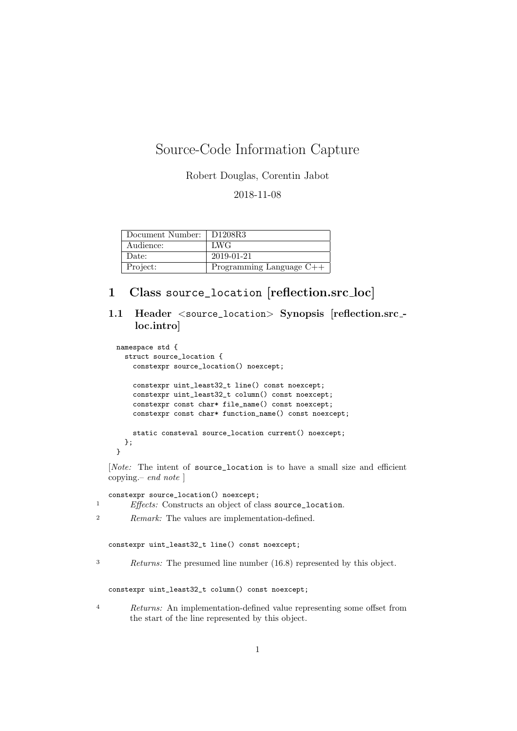## Source-Code Information Capture

Robert Douglas, Corentin Jabot

2018-11-08

| Document Number: | D <sub>1208</sub> R <sub>3</sub> |
|------------------|----------------------------------|
| Audience:        | LWG                              |
| Date:            | 2019-01-21                       |
| Project:         | Programming Language $C++$       |

## 1 Class source\_location [reflection.src loc]

1.1 Header <source\_location> Synopsis [reflection.src\_loc.intro]

```
namespace std {
  struct source_location {
    constexpr source_location() noexcept;
    constexpr uint_least32_t line() const noexcept;
    constexpr uint_least32_t column() const noexcept;
    constexpr const char* file_name() const noexcept;
    constexpr const char* function_name() const noexcept;
    static consteval source_location current() noexcept;
  };
}
```
[Note: The intent of source\_location is to have a small size and efficient copying.– end note ]

constexpr source\_location() noexcept; <sup>1</sup> Effects: Constructs an object of class source\_location.

<sup>2</sup> Remark: The values are implementation-defined.

constexpr uint\_least32\_t line() const noexcept;

<sup>3</sup> Returns: The presumed line number (16.8) represented by this object.

constexpr uint\_least32\_t column() const noexcept;

<sup>4</sup> Returns: An implementation-defined value representing some offset from the start of the line represented by this object.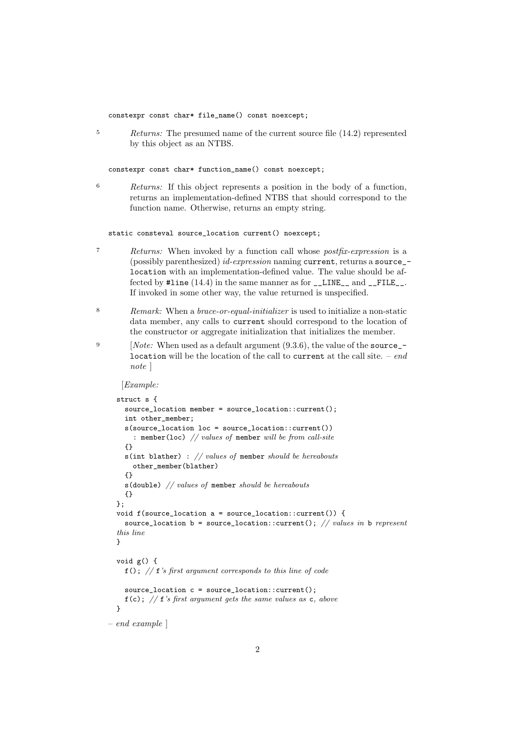constexpr const char\* file\_name() const noexcept;

<sup>5</sup> Returns: The presumed name of the current source file (14.2) represented by this object as an NTBS.

constexpr const char\* function\_name() const noexcept;

6 Returns: If this object represents a position in the body of a function, returns an implementation-defined NTBS that should correspond to the function name. Otherwise, returns an empty string.

static consteval source\_location current() noexcept;

- 7 Returns: When invoked by a function call whose postfix-expression is a (possibly parenthesized) id-expression naming current, returns a source\_ location with an implementation-defined value. The value should be affected by  $\text{\#line}(14.4)$  in the same manner as for \_\_LINE\_\_ and \_\_FILE\_\_. If invoked in some other way, the value returned is unspecified.
- 8 Remark: When a brace-or-equal-initializer is used to initialize a non-static data member, any calls to current should correspond to the location of the constructor or aggregate initialization that initializes the member.
- <sup>9</sup> [*Note:* When used as a default argument  $(9.3.6)$ , the value of the source\_location will be the location of the call to current at the call site.  $-$  end note ]

[Example:

```
struct s {
   source_location member = source_location::current();
   int other_member;
   s(source_location loc = source_location::current())
      : member(loc) // values of member will be from call-site
   {}
   s(int blather) : // values of member should be hereabouts
      other_member(blather)
   {}
   s(double) // values of member should be hereabouts
   {}
 };
 void f(source_location a = source_location::current()) {
   source_location b = source_location::current(); // values in b represent
  this line
 }
 void g() {
   f(); // f''s first argument corresponds to this line of code
   source_location c = source_location::current();
   f(c); // f's first argument gets the same values as c, above
 }
– end example ]
```